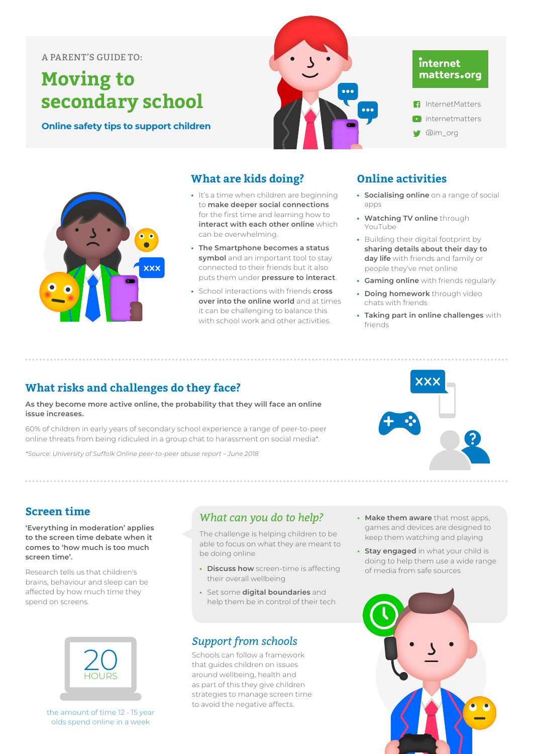#### **A PARENT'S GUIDE TO: have age appropriate discussions about healthy sex and relationships so they have the**

# **Moving to secondary school**

**Online safety tips to support children** 



### internet matters.org

- InternetMatters **D** internetmatters
- **W** @im\_org



#### **What are kids doing?**

- **•** It's a time when children are beginning to **make deeper social connections** for the first time and learning how to **interact with each other online** which can be overwhelming.
- **• The Smartphone becomes a status symbol** and an important tool to stay connected to their friends but it also puts them under **pressure to interact**.
- **•** School interactions with friends **cross over into the online world** and at times it can be challenging to balance this with school work and other activities.

### **Online activities**

- **• Socialising online** on a range of social anns
- **• Watching TV online** through YouTube
- **•** Building their digital footprint by **sharing details about their day to day life** with friends and family or people they've met online
- **• Gaming online** with friends regularly
- **• Doing homework** through video chats with friends
- **• Taking part in online challenges** with friends

#### What risks and challenges do they face? **What risks and challenges do they face?**

As they become more active online, the probability that they will face an online **issue increases. that they will face an online issue increases.**

60% of children in early years of secondary school experience a range of peer-to-peer online threats from being ridiculed in a group chat to harassment on social media\*. a range or peer-to-peer on the threats from being ridiculed the threats from the condition of the condition of

*\*Source: University of Suffolk Online peer-to-peer abuse report – June 2018 [\*Source: University of Suffolk Online peer-to-peer abuse report – June 2018]*



#### **Screen time**

**'Everything in moderation' applies to the screen time debate when it comes to 'how much is too much screen time'.** 

Research tells us that children's brains, behaviour and sleep can be affected by how much time they spend on screens.



the amount of time 12 - 15 year olds spend online in a week

#### What can you do to help?

The challenge is helping children to be able to focus on what they are meant to be doing online in a week

- **• Discuss how** screen-time is affecting their overall wellbeing
- **•** Set some **digital boundaries** and set some **aigital boundaries** and<br>help them be in control of their tech

### ${\boldsymbol{\mathit{Support}}}$  from schools

Schools can follow a framework that guides children on issues around wellbeing, health and as part of this they give children strategies to manage screen time to avoid the negative affects.

**• Make them aware** that most apps, games and devices are designed to **Research tells us that children** watching and playing

**Screen time** 

o<br> **•• Stay engaged** in what your child is doing to help them use a wide range of media from safe sources  $\cdot$  stay engage